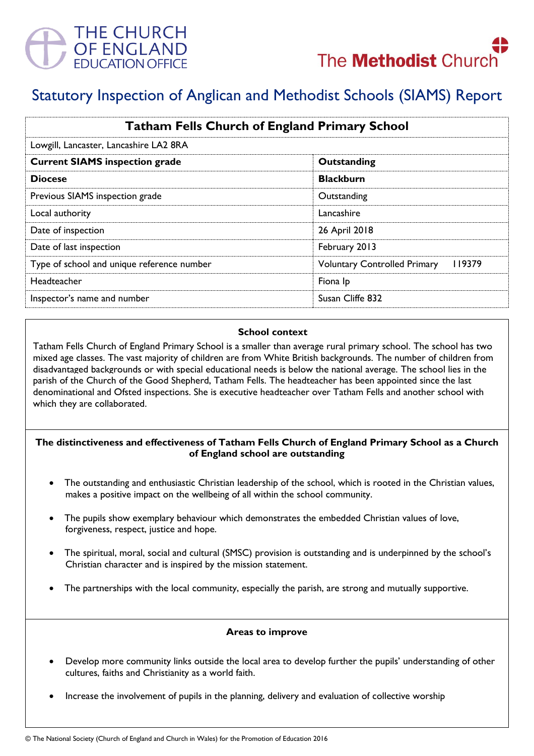



# Statutory Inspection of Anglican and Methodist Schools (SIAMS) Report

| <b>Tatham Fells Church of England Primary School</b> |                                               |
|------------------------------------------------------|-----------------------------------------------|
| Lowgill, Lancaster, Lancashire LA2 8RA               |                                               |
| <b>Current SIAMS inspection grade</b>                | Outstanding                                   |
| <b>Diocese</b>                                       | <b>Blackburn</b>                              |
| Previous SIAMS inspection grade                      | Outstanding                                   |
| Local authority                                      | Lancashire                                    |
| Date of inspection                                   | 26 April 2018                                 |
| Date of last inspection                              | February 2013                                 |
| Type of school and unique reference number           | 119379<br><b>Voluntary Controlled Primary</b> |
| <b>Headteacher</b>                                   | Fiona Ip                                      |
| Inspector's name and number                          | Susan Cliffe 832                              |

## **School context**

Tatham Fells Church of England Primary School is a smaller than average rural primary school. The school has two mixed age classes. The vast majority of children are from White British backgrounds. The number of children from disadvantaged backgrounds or with special educational needs is below the national average. The school lies in the parish of the Church of the Good Shepherd, Tatham Fells. The headteacher has been appointed since the last denominational and Ofsted inspections. She is executive headteacher over Tatham Fells and another school with which they are collaborated.

# **The distinctiveness and effectiveness of Tatham Fells Church of England Primary School as a Church of England school are outstanding**

- The outstanding and enthusiastic Christian leadership of the school, which is rooted in the Christian values, makes a positive impact on the wellbeing of all within the school community.
- The pupils show exemplary behaviour which demonstrates the embedded Christian values of love, forgiveness, respect, justice and hope.
- The spiritual, moral, social and cultural (SMSC) provision is outstanding and is underpinned by the school's Christian character and is inspired by the mission statement.
- The partnerships with the local community, especially the parish, are strong and mutually supportive.

#### **Areas to improve**

- Develop more community links outside the local area to develop further the pupils' understanding of other cultures, faiths and Christianity as a world faith.
- Increase the involvement of pupils in the planning, delivery and evaluation of collective worship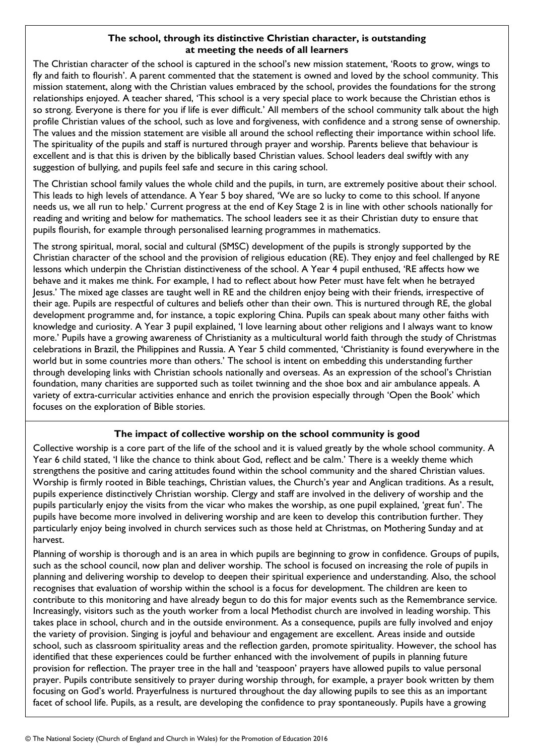## **The school, through its distinctive Christian character, is outstanding at meeting the needs of all learners**

The Christian character of the school is captured in the school's new mission statement, 'Roots to grow, wings to fly and faith to flourish'. A parent commented that the statement is owned and loved by the school community. This mission statement, along with the Christian values embraced by the school, provides the foundations for the strong relationships enjoyed. A teacher shared, 'This school is a very special place to work because the Christian ethos is so strong. Everyone is there for you if life is ever difficult.' All members of the school community talk about the high profile Christian values of the school, such as love and forgiveness, with confidence and a strong sense of ownership. The values and the mission statement are visible all around the school reflecting their importance within school life. The spirituality of the pupils and staff is nurtured through prayer and worship. Parents believe that behaviour is excellent and is that this is driven by the biblically based Christian values. School leaders deal swiftly with any suggestion of bullying, and pupils feel safe and secure in this caring school.

The Christian school family values the whole child and the pupils, in turn, are extremely positive about their school. This leads to high levels of attendance. A Year 5 boy shared, 'We are so lucky to come to this school. If anyone needs us, we all run to help.' Current progress at the end of Key Stage 2 is in line with other schools nationally for reading and writing and below for mathematics. The school leaders see it as their Christian duty to ensure that pupils flourish, for example through personalised learning programmes in mathematics.

The strong spiritual, moral, social and cultural (SMSC) development of the pupils is strongly supported by the Christian character of the school and the provision of religious education (RE). They enjoy and feel challenged by RE lessons which underpin the Christian distinctiveness of the school. A Year 4 pupil enthused, 'RE affects how we behave and it makes me think. For example, I had to reflect about how Peter must have felt when he betrayed Jesus.' The mixed age classes are taught well in RE and the children enjoy being with their friends, irrespective of their age. Pupils are respectful of cultures and beliefs other than their own. This is nurtured through RE, the global development programme and, for instance, a topic exploring China. Pupils can speak about many other faiths with knowledge and curiosity. A Year 3 pupil explained, 'I love learning about other religions and I always want to know more.' Pupils have a growing awareness of Christianity as a multicultural world faith through the study of Christmas celebrations in Brazil, the Philippines and Russia. A Year 5 child commented, 'Christianity is found everywhere in the world but in some countries more than others.' The school is intent on embedding this understanding further through developing links with Christian schools nationally and overseas. As an expression of the school's Christian foundation, many charities are supported such as toilet twinning and the shoe box and air ambulance appeals. A variety of extra-curricular activities enhance and enrich the provision especially through 'Open the Book' which focuses on the exploration of Bible stories.

## **The impact of collective worship on the school community is good**

Collective worship is a core part of the life of the school and it is valued greatly by the whole school community. A Year 6 child stated, 'I like the chance to think about God, reflect and be calm.' There is a weekly theme which strengthens the positive and caring attitudes found within the school community and the shared Christian values. Worship is firmly rooted in Bible teachings, Christian values, the Church's year and Anglican traditions. As a result, pupils experience distinctively Christian worship. Clergy and staff are involved in the delivery of worship and the pupils particularly enjoy the visits from the vicar who makes the worship, as one pupil explained, 'great fun'. The pupils have become more involved in delivering worship and are keen to develop this contribution further. They particularly enjoy being involved in church services such as those held at Christmas, on Mothering Sunday and at harvest.

Planning of worship is thorough and is an area in which pupils are beginning to grow in confidence. Groups of pupils, such as the school council, now plan and deliver worship. The school is focused on increasing the role of pupils in planning and delivering worship to develop to deepen their spiritual experience and understanding. Also, the school recognises that evaluation of worship within the school is a focus for development. The children are keen to contribute to this monitoring and have already begun to do this for major events such as the Remembrance service. Increasingly, visitors such as the youth worker from a local Methodist church are involved in leading worship. This takes place in school, church and in the outside environment. As a consequence, pupils are fully involved and enjoy the variety of provision. Singing is joyful and behaviour and engagement are excellent. Areas inside and outside school, such as classroom spirituality areas and the reflection garden, promote spirituality. However, the school has identified that these experiences could be further enhanced with the involvement of pupils in planning future provision for reflection. The prayer tree in the hall and 'teaspoon' prayers have allowed pupils to value personal prayer. Pupils contribute sensitively to prayer during worship through, for example, a prayer book written by them focusing on God's world. Prayerfulness is nurtured throughout the day allowing pupils to see this as an important facet of school life. Pupils, as a result, are developing the confidence to pray spontaneously. Pupils have a growing